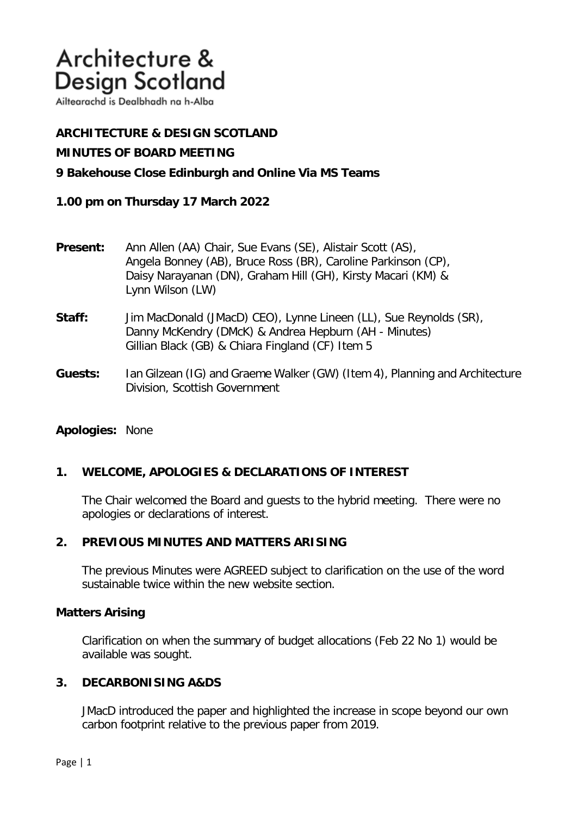# Architecture & **Design Scotland**

Ailtearachd is Dealbhadh na h-Alba

# **ARCHITECTURE & DESIGN SCOTLAND**

## **MINUTES OF BOARD MEETING**

## **9 Bakehouse Close Edinburgh and Online Via MS Teams**

## **1.00 pm on Thursday 17 March 2022**

| <b>Present:</b> | Ann Allen (AA) Chair, Sue Evans (SE), Alistair Scott (AS),    |
|-----------------|---------------------------------------------------------------|
|                 | Angela Bonney (AB), Bruce Ross (BR), Caroline Parkinson (CP), |
|                 | Daisy Narayanan (DN), Graham Hill (GH), Kirsty Macari (KM) &  |
|                 | Lynn Wilson (LW)                                              |

- **Staff:** Jim MacDonald (JMacD) CEO), Lynne Lineen (LL), Sue Reynolds (SR), Danny McKendry (DMcK) & Andrea Hepburn (AH - Minutes) Gillian Black (GB) & Chiara Fingland (CF) Item 5
- **Guests:** Ian Gilzean (IG) and Graeme Walker (GW) (Item 4), Planning and Architecture Division, Scottish Government

### **Apologies:** None

# **1. WELCOME, APOLOGIES & DECLARATIONS OF INTEREST**

The Chair welcomed the Board and guests to the hybrid meeting. There were no apologies or declarations of interest.

#### **2. PREVIOUS MINUTES AND MATTERS ARISING**

The previous Minutes were AGREED subject to clarification on the use of the word sustainable twice within the new website section.

## **Matters Arising**

Clarification on when the summary of budget allocations (Feb 22 No 1) would be available was sought.

#### **3. DECARBONISING A&DS**

JMacD introduced the paper and highlighted the increase in scope beyond our own carbon footprint relative to the previous paper from 2019.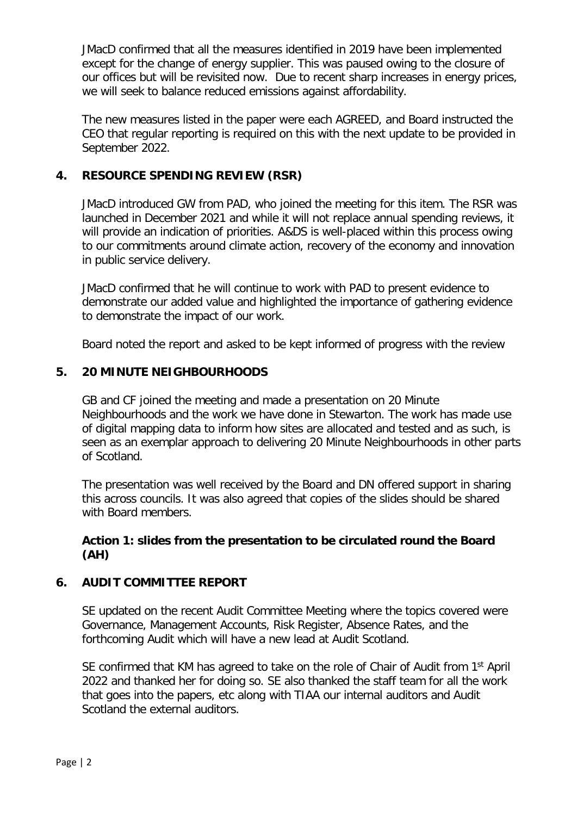JMacD confirmed that all the measures identified in 2019 have been implemented except for the change of energy supplier. This was paused owing to the closure of our offices but will be revisited now. Due to recent sharp increases in energy prices, we will seek to balance reduced emissions against affordability.

The new measures listed in the paper were each AGREED, and Board instructed the CEO that regular reporting is required on this with the next update to be provided in September 2022.

# **4. RESOURCE SPENDING REVIEW (RSR)**

JMacD introduced GW from PAD, who joined the meeting for this item. The RSR was launched in December 2021 and while it will not replace annual spending reviews, it will provide an indication of priorities. A&DS is well-placed within this process owing to our commitments around climate action, recovery of the economy and innovation in public service delivery.

JMacD confirmed that he will continue to work with PAD to present evidence to demonstrate our added value and highlighted the importance of gathering evidence to demonstrate the impact of our work.

Board noted the report and asked to be kept informed of progress with the review

# **5. 20 MINUTE NEIGHBOURHOODS**

GB and CF joined the meeting and made a presentation on 20 Minute Neighbourhoods and the work we have done in Stewarton. The work has made use of digital mapping data to inform how sites are allocated and tested and as such, is seen as an exemplar approach to delivering 20 Minute Neighbourhoods in other parts of Scotland.

The presentation was well received by the Board and DN offered support in sharing this across councils. It was also agreed that copies of the slides should be shared with Board members.

# **Action 1: slides from the presentation to be circulated round the Board (AH)**

## **6. AUDIT COMMITTEE REPORT**

SE updated on the recent Audit Committee Meeting where the topics covered were Governance, Management Accounts, Risk Register, Absence Rates, and the forthcoming Audit which will have a new lead at Audit Scotland.

SE confirmed that KM has agreed to take on the role of Chair of Audit from 1<sup>st</sup> April 2022 and thanked her for doing so. SE also thanked the staff team for all the work that goes into the papers, etc along with TIAA our internal auditors and Audit Scotland the external auditors.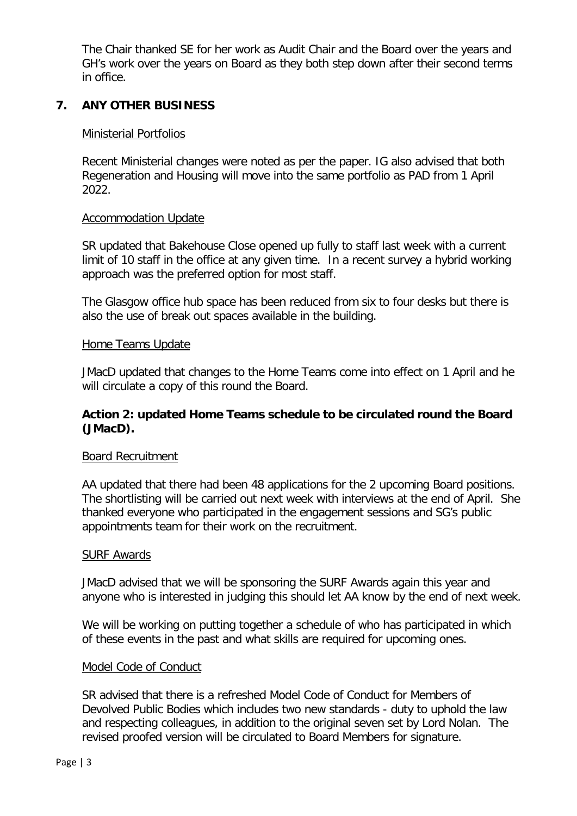The Chair thanked SE for her work as Audit Chair and the Board over the years and GH's work over the years on Board as they both step down after their second terms in office.

# **7. ANY OTHER BUSINESS**

## Ministerial Portfolios

Recent Ministerial changes were noted as per the paper. IG also advised that both Regeneration and Housing will move into the same portfolio as PAD from 1 April 2022.

## Accommodation Update

SR updated that Bakehouse Close opened up fully to staff last week with a current limit of 10 staff in the office at any given time. In a recent survey a hybrid working approach was the preferred option for most staff.

The Glasgow office hub space has been reduced from six to four desks but there is also the use of break out spaces available in the building.

## Home Teams Update

JMacD updated that changes to the Home Teams come into effect on 1 April and he will circulate a copy of this round the Board.

# **Action 2: updated Home Teams schedule to be circulated round the Board (JMacD).**

#### Board Recruitment

AA updated that there had been 48 applications for the 2 upcoming Board positions. The shortlisting will be carried out next week with interviews at the end of April. She thanked everyone who participated in the engagement sessions and SG's public appointments team for their work on the recruitment.

#### SURF Awards

JMacD advised that we will be sponsoring the SURF Awards again this year and anyone who is interested in judging this should let AA know by the end of next week.

We will be working on putting together a schedule of who has participated in which of these events in the past and what skills are required for upcoming ones.

#### Model Code of Conduct

SR advised that there is a refreshed Model Code of Conduct for Members of Devolved Public Bodies which includes two new standards - duty to uphold the law and respecting colleagues, in addition to the original seven set by Lord Nolan. The revised proofed version will be circulated to Board Members for signature.